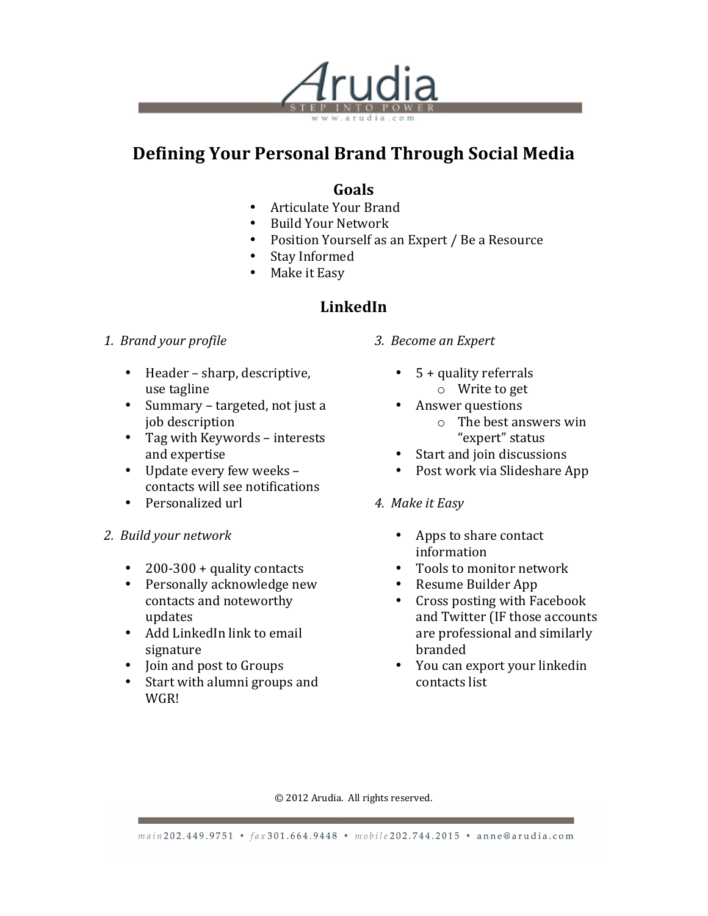

# **Defining Your Personal Brand Through Social Media**

### **Goals**

- Articulate Your Brand
- Build Your Network
- Position Yourself as an Expert / Be a Resource
- Stay Informed
- Make it Easy

### **LinkedIn**

#### *1. Brand your profile*

- $\bullet$  Header sharp, descriptive, use tagline
- Summary targeted, not just a job description
- Tag with Keywords interests and expertise
- Update every few weeks contacts will see notifications
- Personalized url
- *2. Build your network*
	- 200-300 + quality contacts
	- Personally acknowledge new contacts and noteworthy updates
	- Add LinkedIn link to email signature
	- Join and post to Groups
	- Start with alumni groups and WGR!
- *3. Become an Expert*
	- $\cdot$  5 + quality referrals  $\circ$  Write to get
	- Answer questions
		- $\circ$  The best answers win "expert" status
	- Start and join discussions
	- Post work via Slideshare App
- *4. Make it Easy*
	- Apps to share contact information
	- Tools to monitor network
	- Resume Builder App
	- Cross posting with Facebook and Twitter (IF those accounts are professional and similarly branded
	- You can export your linkedin contacts list

© 2012 Arudia. All rights reserved.